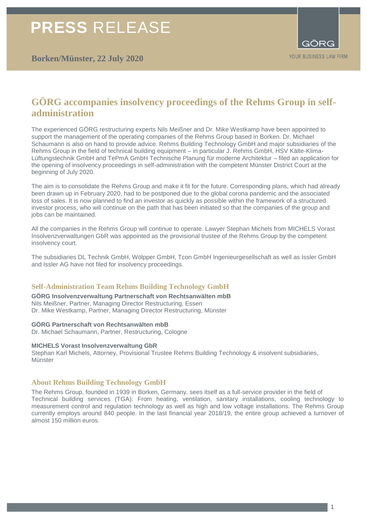## **GÖRG accompanies insolvency proceedings of the Rehms Group in selfadministration**

The experienced GÖRG restructuring experts Nils Meißner and Dr. Mike Westkamp have been appointed to support the management of the operating companies of the Rehms Group based in Borken. Dr. Michael Schaumann is also on hand to provide advice. Rehms Building Technology GmbH and major subsidiaries of the Rehms Group in the field of technical building equipment – in particular J. Rehms GmbH, HSV Kälte-Klima-Lüftungstechnik GmbH and TePmA GmbH Technische Planung für moderne Architektur – filed an application for the opening of insolvency proceedings in self-administration with the competent Münster District Court at the beginning of July 2020.

The aim is to consolidate the Rehms Group and make it fit for the future. Corresponding plans, which had already been drawn up in February 2020, had to be postponed due to the global corona pandemic and the associated loss of sales. It is now planned to find an investor as quickly as possible within the framework of a structured investor process, who will continue on the path that has been initiated so that the companies of the group and jobs can be maintained.

All the companies in the Rehms Group will continue to operate. Lawyer Stephan Michels from MICHELS Vorast Insolvenzverwaltungen GbR was appointed as the provisional trustee of the Rehms Group by the competent insolvency court.

The subsidiaries DL Technik GmbH, Wölpper GmbH, Tcon GmbH Ingenieurgesellschaft as well as Issler GmbH and Issler AG have not filed for insolvency proceedings.

#### **Self-Administration Team Rehms Building Technology GmbH**

**GÖRG Insolvenzverwaltung Partnerschaft von Rechtsanwälten mbB** Nils Meißner, Partner, Managing Director Restructuring, Essen Dr. Mike Westkamp, Partner, Managing Director Restructuring, Münster

#### **GÖRG Partnerschaft von Rechtsanwälten mbB**

Dr. Michael Schaumann, Partner, Restructuring, Cologne

#### **MICHELS Vorast Insolvenzverwaltung GbR**

Stephan Karl Michels, Attorney, Provisional Trustee Rehms Building Technology & insolvent subsidiaries, **Münster** 

#### **About Rehms Building Technology GmbH**

The Rehms Group, founded in 1939 in Borken, Germany, sees itself as a full-service provider in the field of Technical building services (TGA): From heating, ventilation, sanitary installations, cooling technology to measurement control and regulation technology as well as high and low voltage installations. The Rehms Group currently employs around 840 people. In the last financial year 2018/19, the entire group achieved a turnover of almost 150 million euros.